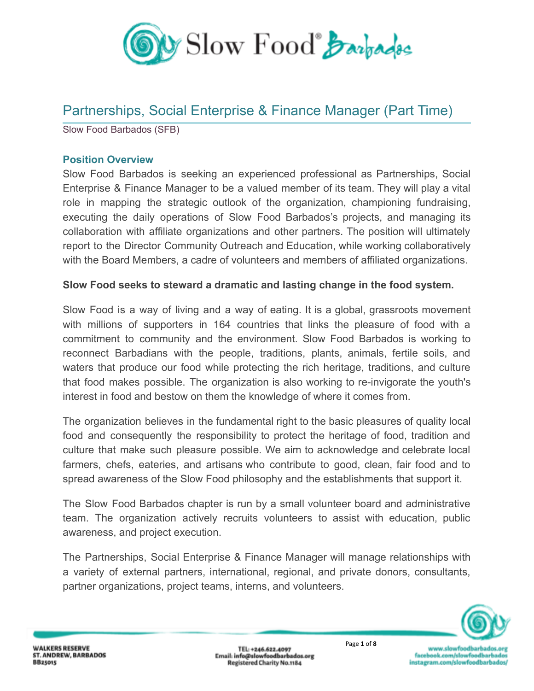

# Partnerships, Social Enterprise & Finance Manager (Part Time)

Slow Food Barbados (SFB)

#### **Position Overview**

Slow Food Barbados is seeking an experienced professional as Partnerships, Social Enterprise & Finance Manager to be a valued member of its team. They will play a vital role in mapping the strategic outlook of the organization, championing fundraising, executing the daily operations of Slow Food Barbados's projects, and managing its collaboration with affiliate organizations and other partners. The position will ultimately report to the Director Community Outreach and Education, while working collaboratively with the Board Members, a cadre of volunteers and members of affiliated organizations.

#### **Slow Food seeks to steward a dramatic and lasting change in the food system.**

Slow Food is a way of living and a way of eating. It is a global, grassroots movement with millions of supporters in 164 countries that links the pleasure of food with a commitment to community and the environment. Slow Food Barbados is working to reconnect Barbadians with the people, traditions, plants, animals, fertile soils, and waters that produce our food while protecting the rich heritage, traditions, and culture that food makes possible. The organization is also working to re-invigorate the youth's interest in food and bestow on them the knowledge of where it comes from.

The organization believes in the fundamental right to the basic pleasures of quality local food and consequently the responsibility to protect the heritage of food, tradition and culture that make such pleasure possible. We aim to acknowledge and celebrate local farmers, chefs, eateries, and artisans who contribute to good, clean, fair food and to spread awareness of the Slow Food philosophy and the establishments that support it.

The Slow Food Barbados chapter is run by a small volunteer board and administrative team. The organization actively recruits volunteers to assist with education, public awareness, and project execution.

The Partnerships, Social Enterprise & Finance Manager will manage relationships with a variety of external partners, international, regional, and private donors, consultants, partner organizations, project teams, interns, and volunteers.

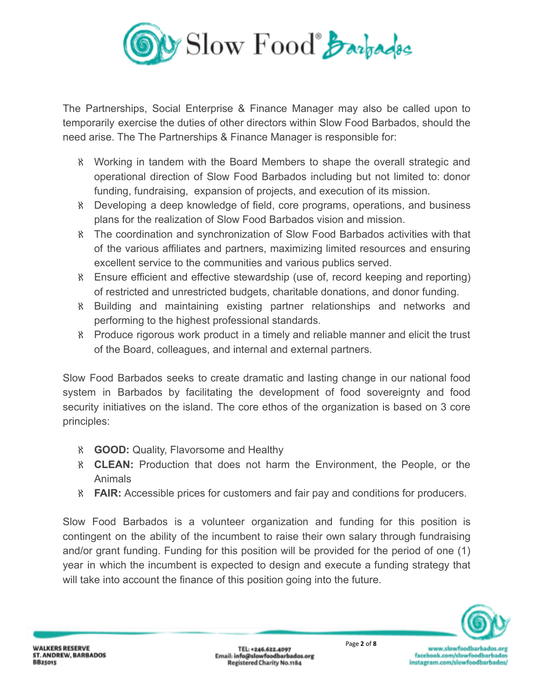

The Partnerships, Social Enterprise & Finance Manager may also be called upon to temporarily exercise the duties of other directors within Slow Food Barbados, should the need arise. The The Partnerships & Finance Manager is responsible for:

- ℵ Working in tandem with the Board Members to shape the overall strategic and operational direction of Slow Food Barbados including but not limited to: donor funding, fundraising, expansion of projects, and execution of its mission.
- ℵ Developing a deep knowledge of field, core programs, operations, and business plans for the realization of Slow Food Barbados vision and mission.
- ℵ The coordination and synchronization of Slow Food Barbados activities with that of the various affiliates and partners, maximizing limited resources and ensuring excellent service to the communities and various publics served.
- ℵ Ensure efficient and effective stewardship (use of, record keeping and reporting) of restricted and unrestricted budgets, charitable donations, and donor funding.
- ℵ Building and maintaining existing partner relationships and networks and performing to the highest professional standards.
- ℵ Produce rigorous work product in a timely and reliable manner and elicit the trust of the Board, colleagues, and internal and external partners.

Slow Food Barbados seeks to create dramatic and lasting change in our national food system in Barbados by facilitating the development of food sovereignty and food security initiatives on the island. The core ethos of the organization is based on 3 core principles:

- ℵ **GOOD:** Quality, Flavorsome and Healthy
- ℵ **CLEAN:** Production that does not harm the Environment, the People, or the Animals
- ℵ **FAIR:** Accessible prices for customers and fair pay and conditions for producers.

Slow Food Barbados is a volunteer organization and funding for this position is contingent on the ability of the incumbent to raise their own salary through fundraising and/or grant funding. Funding for this position will be provided for the period of one (1) year in which the incumbent is expected to design and execute a funding strategy that will take into account the finance of this position going into the future.

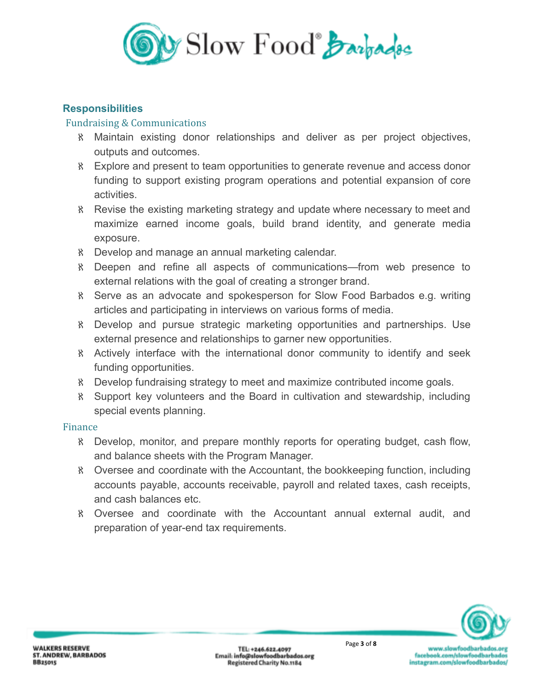

## **Responsibilities**

#### Fundraising & Communications

- ℵ Maintain existing donor relationships and deliver as per project objectives, outputs and outcomes.
- ℵ Explore and present to team opportunities to generate revenue and access donor funding to support existing program operations and potential expansion of core activities.
- ℵ Revise the existing marketing strategy and update where necessary to meet and maximize earned income goals, build brand identity, and generate media exposure.
- ℵ Develop and manage an annual marketing calendar.
- ℵ Deepen and refine all aspects of communications—from web presence to external relations with the goal of creating a stronger brand.
- ℵ Serve as an advocate and spokesperson for Slow Food Barbados e.g. writing articles and participating in interviews on various forms of media.
- ℵ Develop and pursue strategic marketing opportunities and partnerships. Use external presence and relationships to garner new opportunities.
- ℵ Actively interface with the international donor community to identify and seek funding opportunities.
- ℵ Develop fundraising strategy to meet and maximize contributed income goals.
- ℵ Support key volunteers and the Board in cultivation and stewardship, including special events planning.

#### Finance

- ℵ Develop, monitor, and prepare monthly reports for operating budget, cash flow, and balance sheets with the Program Manager.
- ℵ Oversee and coordinate with the Accountant, the bookkeeping function, including accounts payable, accounts receivable, payroll and related taxes, cash receipts, and cash balances etc.
- ℵ Oversee and coordinate with the Accountant annual external audit, and preparation of year-end tax requirements.

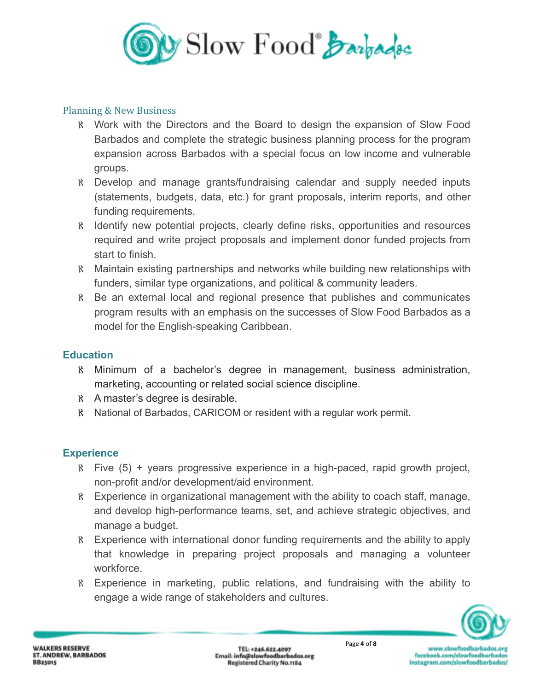

## Planning & New Business

- ℵ Work with the Directors and the Board to design the expansion of Slow Food Barbados and complete the strategic business planning process for the program expansion across Barbados with a special focus on low income and vulnerable groups.
- ℵ Develop and manage grants/fundraising calendar and supply needed inputs (statements, budgets, data, etc.) for grant proposals, interim reports, and other funding requirements.
- ℵ Identify new potential projects, clearly define risks, opportunities and resources required and write project proposals and implement donor funded projects from start to finish.
- ℵ Maintain existing partnerships and networks while building new relationships with funders, similar type organizations, and political & community leaders.
- ℵ Be an external local and regional presence that publishes and communicates program results with an emphasis on the successes of Slow Food Barbados as a model for the English-speaking Caribbean.

## **Education**

- ℵ Minimum of a bachelor's degree in management, business administration, marketing, accounting or related social science discipline.
- ℵ A master's degree is desirable.
- ℵ National of Barbados, CARICOM or resident with a regular work permit.

## **Experience**

- ℵ Five (5) + years progressive experience in a high-paced, rapid growth project, non-profit and/or development/aid environment.
- ℵ Experience in organizational management with the ability to coach staff, manage, and develop high-performance teams, set, and achieve strategic objectives, and manage a budget.
- ℵ Experience with international donor funding requirements and the ability to apply that knowledge in preparing project proposals and managing a volunteer workforce.
- ℵ Experience in marketing, public relations, and fundraising with the ability to engage a wide range of stakeholders and cultures.

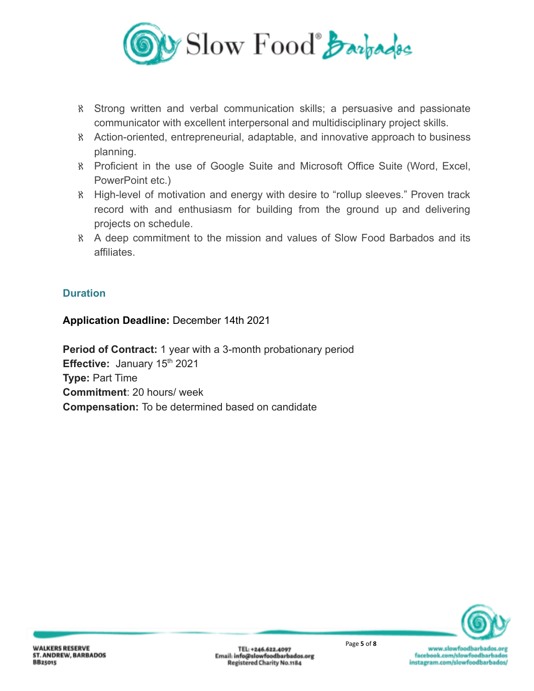

- ℵ Strong written and verbal communication skills; a persuasive and passionate communicator with excellent interpersonal and multidisciplinary project skills.
- ℵ Action-oriented, entrepreneurial, adaptable, and innovative approach to business planning.
- ℵ Proficient in the use of Google Suite and Microsoft Office Suite (Word, Excel, PowerPoint etc.)
- ℵ High-level of motivation and energy with desire to "rollup sleeves." Proven track record with and enthusiasm for building from the ground up and delivering projects on schedule.
- ℵ A deep commitment to the mission and values of Slow Food Barbados and its affiliates.

# **Duration**

## **Application Deadline:** December 14th 2021

**Period of Contract:** 1 year with a 3-month probationary period **Effective:** January 15<sup>th</sup> 2021 **Type:** Part Time **Commitment**: 20 hours/ week **Compensation:** To be determined based on candidate



www.slowfoodbarbados.org facebook.com/slowfoodbarbados instagram.com/slowfoodbarbados/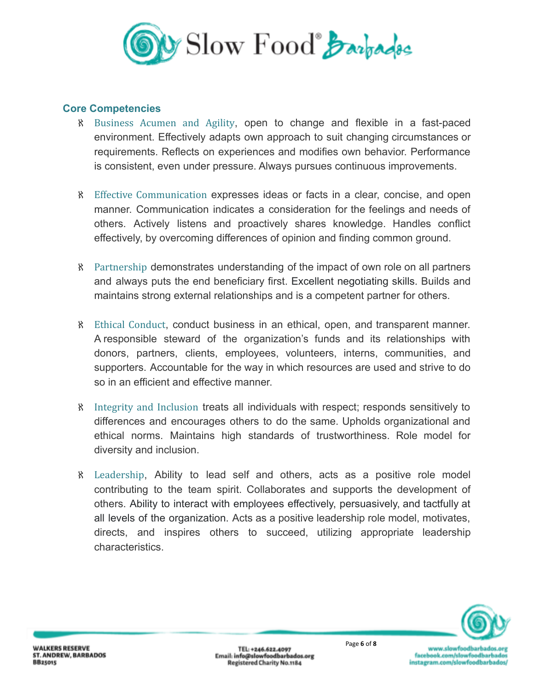

#### **Core Competencies**

- ℵ Business Acumen and Agility, open to change and flexible in a fast-paced environment. Effectively adapts own approach to suit changing circumstances or requirements. Reflects on experiences and modifies own behavior. Performance is consistent, even under pressure. Always pursues continuous improvements.
- ℵ Effective Communication expresses ideas or facts in a clear, concise, and open manner. Communication indicates a consideration for the feelings and needs of others. Actively listens and proactively shares knowledge. Handles conflict effectively, by overcoming differences of opinion and finding common ground.
- ℵ Partnership demonstrates understanding of the impact of own role on all partners and always puts the end beneficiary first. Excellent negotiating skills. Builds and maintains strong external relationships and is a competent partner for others.
- ℵ Ethical Conduct, conduct business in an ethical, open, and transparent manner. A responsible steward of the organization's funds and its relationships with donors, partners, clients, employees, volunteers, interns, communities, and supporters. Accountable for the way in which resources are used and strive to do so in an efficient and effective manner.
- ℵ Integrity and Inclusion treats all individuals with respect; responds sensitively to differences and encourages others to do the same. Upholds organizational and ethical norms. Maintains high standards of trustworthiness. Role model for diversity and inclusion.
- ℵ Leadership, Ability to lead self and others, acts as a positive role model contributing to the team spirit. Collaborates and supports the development of others. Ability to interact with employees effectively, persuasively, and tactfully at all levels of the organization. Acts as a positive leadership role model, motivates, directs, and inspires others to succeed, utilizing appropriate leadership characteristics.

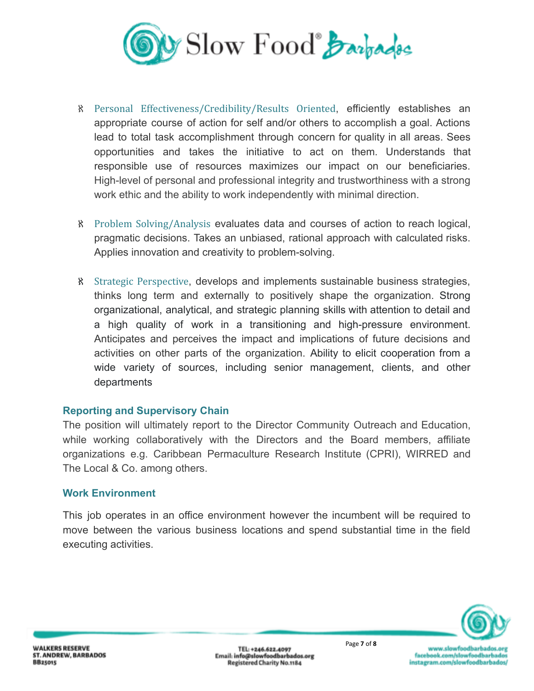

- ℵ Personal Effectiveness/Credibility/Results Oriented, efficiently establishes an appropriate course of action for self and/or others to accomplish a goal. Actions lead to total task accomplishment through concern for quality in all areas. Sees opportunities and takes the initiative to act on them. Understands that responsible use of resources maximizes our impact on our beneficiaries. High-level of personal and professional integrity and trustworthiness with a strong work ethic and the ability to work independently with minimal direction.
- ℵ Problem Solving/Analysis evaluates data and courses of action to reach logical, pragmatic decisions. Takes an unbiased, rational approach with calculated risks. Applies innovation and creativity to problem-solving.
- ℵ Strategic Perspective, develops and implements sustainable business strategies, thinks long term and externally to positively shape the organization. Strong organizational, analytical, and strategic planning skills with attention to detail and a high quality of work in a transitioning and high-pressure environment. Anticipates and perceives the impact and implications of future decisions and activities on other parts of the organization. Ability to elicit cooperation from a wide variety of sources, including senior management, clients, and other departments

## **Reporting and Supervisory Chain**

The position will ultimately report to the Director Community Outreach and Education, while working collaboratively with the Directors and the Board members, affiliate organizations e.g. Caribbean Permaculture Research Institute (CPRI), WIRRED and The Local & Co. among others.

#### **Work Environment**

This job operates in an office environment however the incumbent will be required to move between the various business locations and spend substantial time in the field executing activities.